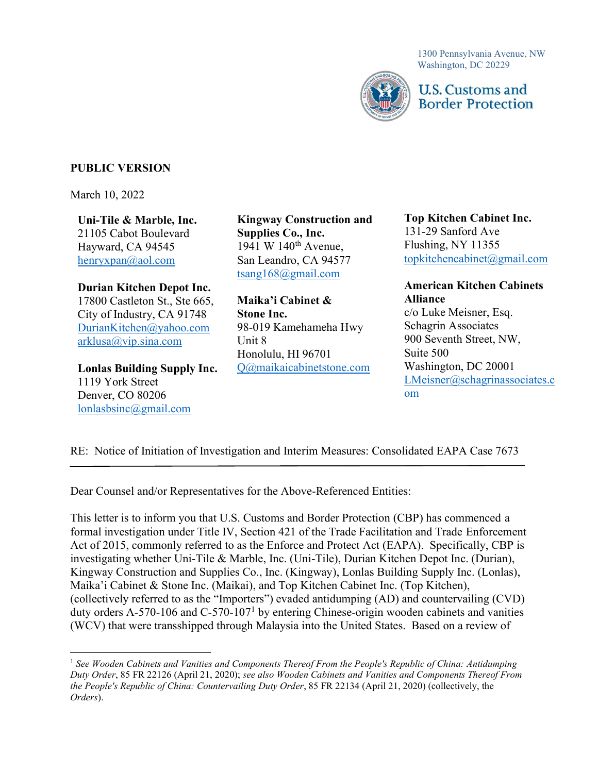1300 Pennsylvania Avenue, NW Washington, DC 20229



# **U.S. Customs and Border Protection**

## PUBLIC VERSION

March 10, 2022

Uni-Tile & Marble, Inc. Hayward, CA 94545  $h$ enryxpan $\omega$ aol.com

Durian Kitchen Depot Inc. 17800 Castleton St., Ste 665, Maika'i Cabinet & Alliance City of Industry, CA 91748 Stone Inc. c/o Luke Meisner, Esq. DurianKitchen@yahoo.com  $arklusa@vip.sina.com$ DurianKitchen@yahoo.com 98-019 Kamehameha Hwy Schagrin Associates  $\frac{\text{arklusa}(a)}{\text{vir.} \sin a \cdot \text{com}}$  Unit 8 900 Seventh Street, NW,

1119 York Street Denver, CO 80206 om lonlasbsinc@gmail.com

21105 Cabot Boulevard Supplies Co., Inc. 131-29 Sanford Ave Uni-Tile & Marble, Inc. Kingway Construction and Top Kitchen Cabinet Inc. Supplies Co., Inc. Hayward, CA 94545 1941 W 140<sup>th</sup> Avenue, Flushing, NY 11355 San Leandro, CA 94577 tsang168@gmail.com

Lonlas Building Supply Inc. Q@maikaicabinetstone.com Washington, DC 20001 Maika'i Cabinet & **Stone Inc.** Unit 8 Honolulu, HI 96701 Suite 500

## **Top Kitchen Cabinet Inc.** 131-29 Sanford Ave Flushing, NY 11355  $topkitehencabinet@gmail.com$

# Durian Kitchen Depot Inc. American Kitchen Cabinets

c/o Luke Meisner, Esq. **Schagrin Associates** Suite 500 Washington, DC 20001 LMeisner@schagrinassociates.c

# RE: Notice of Initiation of Investigation and Interim Measures: Consolidated EAPA Case 7673

Dear Counsel and/or Representatives for the Above-Referenced Entities:

 This letter is to inform you that U.S. Customs and Border Protection (CBP) has commenced a formal investigation under Title IV, Section 421 of the Trade Facilitation and Trade Enforcement Act of 2015, commonly referred to as the Enforce and Protect Act (EAPA). Specifically, CBP is investigating whether Uni-Tile & Marble, Inc. (Uni-Tile), Durian Kitchen Depot Inc. (Durian), Kingway Construction and Supplies Co., Inc. (Kingway), Lonlas Building Supply Inc. (Lonlas), Maika'i Cabinet & Stone Inc. (Maikai), and Top Kitchen Cabinet Inc. (Top Kitchen), (collectively referred to as the "Importers") evaded antidumping (AD) and countervailing (CVD) duty orders A-570-106 and C-570-107<sup>1</sup> by entering Chinese-origin wooden cabinets and vanities (WCV) that were transshipped through Malaysia into the United States. Based on a review of

<sup>&</sup>lt;sup>1</sup> See Wooden Cabinets and Vanities and Components Thereof From the People's Republic of China: Antidumping Duty Order, 85 FR 22126 (April 21, 2020); see also Wooden Cabinets and Vanities and Components Thereof From the People's Republic of China: Countervailing Duty Order, 85 FR 22134 (April 21, 2020) (collectively, the Orders).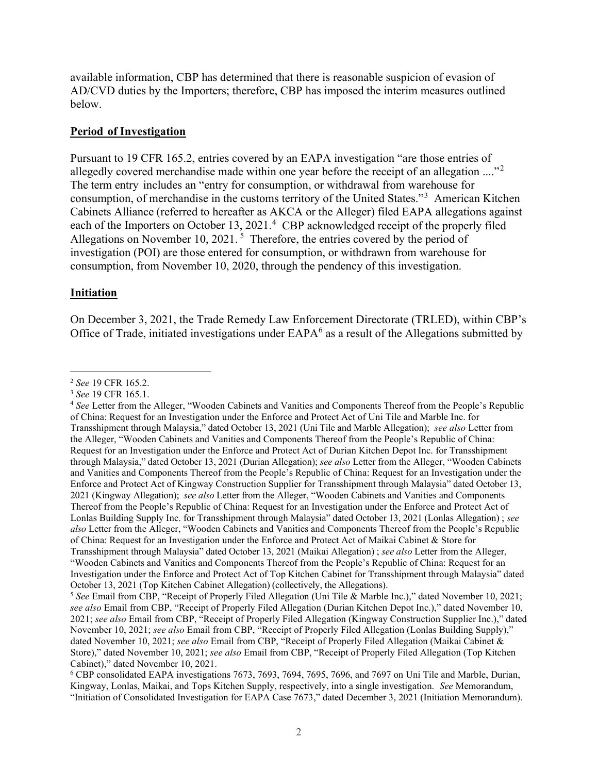available information, CBP has determined that there is reasonable suspicion of evasion of AD/CVD duties by the Importers; therefore, CBP has imposed the interim measures outlined below.

#### Period of Investigation

 Pursuant to 19 CFR 165.2, entries covered by an EAPA investigation "are those entries of allegedly covered merchandise made within one year before the receipt of an allegation  $\ldots$ <sup>2</sup> The term entry includes an "entry for consumption, or withdrawal from warehouse for consumption, of merchandise in the customs territory of the United States."<sup>3</sup> American Kitchen Cabinets Alliance (referred to hereafter as AKCA or the Alleger) filed EAPA allegations against each of the Importers on October 13, 2021.<sup>4</sup> CBP acknowledged receipt of the properly filed Allegations on November 10, 2021.<sup>5</sup> Therefore, the entries covered by the period of investigation (POI) are those entered for consumption, or withdrawn from warehouse for consumption, from November 10, 2020, through the pendency of this investigation.

#### Initiation

 On December 3, 2021, the Trade Remedy Law Enforcement Directorate (TRLED), within CBP's Office of Trade, initiated investigations under  $EAPA<sup>6</sup>$  as a result of the Allegations submitted by

<sup>&</sup>lt;sup>2</sup> See 19 CFR 165.2.

<sup>&</sup>lt;sup>3</sup> See 19 CFR 165.1.

<sup>&</sup>lt;sup>4</sup> See Letter from the Alleger, "Wooden Cabinets and Vanities and Components Thereof from the People's Republic of China: Request for an Investigation under the Enforce and Protect Act of Uni Tile and Marble Inc. for Transshipment through Malaysia," dated October 13, 2021 (Uni Tile and Marble Allegation); see also Letter from the Alleger, "Wooden Cabinets and Vanities and Components Thereof from the People's Republic of China: Request for an Investigation under the Enforce and Protect Act of Durian Kitchen Depot Inc. for Transshipment through Malaysia," dated October 13, 2021 (Durian Allegation); see also Letter from the Alleger, "Wooden Cabinets and Vanities and Components Thereof from the People's Republic of China: Request for an Investigation under the Enforce and Protect Act of Kingway Construction Supplier for Transshipment through Malaysia" dated October 13, 2021 (Kingway Allegation); see also Letter from the Alleger, "Wooden Cabinets and Vanities and Components Thereof from the People's Republic of China: Request for an Investigation under the Enforce and Protect Act of Lonlas Building Supply Inc. for Transshipment through Malaysia" dated October 13, 2021 (Lonlas Allegation); see also Letter from the Alleger, "Wooden Cabinets and Vanities and Components Thereof from the People's Republic of China: Request for an Investigation under the Enforce and Protect Act of Maikai Cabinet & Store for Transshipment through Malaysia" dated October 13, 2021 (Maikai Allegation); see also Letter from the Alleger, "Wooden Cabinets and Vanities and Components Thereof from the People's Republic of China: Request for an Investigation under the Enforce and Protect Act of Top Kitchen Cabinet for Transshipment through Malaysia" dated October 13, 2021 (Top Kitchen Cabinet Allegation) (collectively, the Allegations).

<sup>&</sup>lt;sup>5</sup> See Email from CBP, "Receipt of Properly Filed Allegation (Uni Tile & Marble Inc.)," dated November 10, 2021; see also Email from CBP, "Receipt of Properly Filed Allegation (Durian Kitchen Depot Inc.)," dated November 10, 2021; see also Email from CBP, "Receipt of Properly Filed Allegation (Kingway Construction Supplier Inc.)," dated November 10, 2021; see also Email from CBP, "Receipt of Properly Filed Allegation (Lonlas Building Supply)," dated November 10, 2021; see also Email from CBP, "Receipt of Properly Filed Allegation (Maikai Cabinet & Store)," dated November 10, 2021; see also Email from CBP, "Receipt of Properly Filed Allegation (Top Kitchen Cabinet)," dated November 10, 2021.

<sup>&</sup>lt;sup>6</sup> CBP consolidated EAPA investigations 7673, 7693, 7694, 7695, 7696, and 7697 on Uni Tile and Marble, Durian, Kingway, Lonlas, Maikai, and Tops Kitchen Supply, respectively, into a single investigation. See Memorandum, "Initiation of Consolidated Investigation for EAPA Case 7673," dated December 3, 2021 (Initiation Memorandum).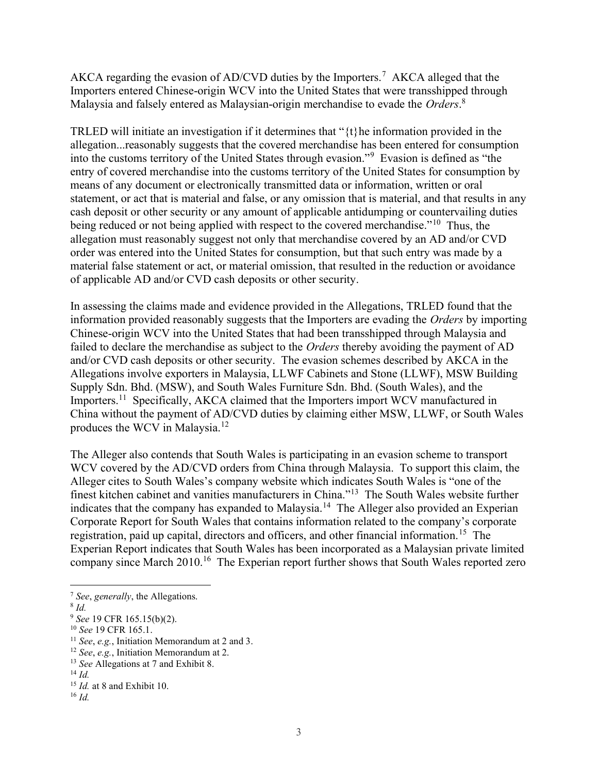AKCA regarding the evasion of AD/CVD duties by the Importers.<sup>7</sup> AKCA alleged that the Importers entered Chinese-origin WCV into the United States that were transshipped through Malaysia and falsely entered as Malaysian-origin merchandise to evade the Orders.<sup>8</sup>

TRLED will initiate an investigation if it determines that " $\{t\}$ he information provided in the allegation...reasonably suggests that the covered merchandise has been entered for consumption into the customs territory of the United States through evasion."<sup>9</sup> Evasion is defined as "the entry of covered merchandise into the customs territory of the United States for consumption by means of any document or electronically transmitted data or information, written or oral statement, or act that is material and false, or any omission that is material, and that results in any cash deposit or other security or any amount of applicable antidumping or countervailing duties being reduced or not being applied with respect to the covered merchandise."<sup>10</sup> Thus, the allegation must reasonably suggest not only that merchandise covered by an AD and/or CVD order was entered into the United States for consumption, but that such entry was made by a material false statement or act, or material omission, that resulted in the reduction or avoidance of applicable AD and/or CVD cash deposits or other security.

 In assessing the claims made and evidence provided in the Allegations, TRLED found that the information provided reasonably suggests that the Importers are evading the Orders by importing Chinese-origin WCV into the United States that had been transshipped through Malaysia and failed to declare the merchandise as subject to the Orders thereby avoiding the payment of AD and/or CVD cash deposits or other security. The evasion schemes described by AKCA in the Allegations involve exporters in Malaysia, LLWF Cabinets and Stone (LLWF), MSW Building Supply Sdn. Bhd. (MSW), and South Wales Furniture Sdn. Bhd. (South Wales), and the [Importers.](https://Importers.11)<sup>11</sup> Specifically, AKCA claimed that the Importers import WCV manufactured in China without the payment of AD/CVD duties by claiming either MSW, LLWF, or South Wales produces the WCV in [Malaysia.](https://Malaysia.12)<sup>12</sup>

 The Alleger also contends that South Wales is participating in an evasion scheme to transport WCV covered by the AD/CVD orders from China through Malaysia. To support this claim, the Alleger cites to South Wales's company website which indicates South Wales is "one of the finest kitchen cabinet and vanities manufacturers in China."<sup>13</sup> The South Wales website further indicates that the company has expanded to [Malaysia.](https://Malaysia.14)<sup>14</sup> The Alleger also provided an Experian Corporate Report for South Wales that contains information related to the company's corporate registration, paid up capital, directors and officers, and other financial [information.](https://information.15)<sup>15</sup> The Experian Report indicates that South Wales has been incorporated as a Malaysian private limited company since March 2010.<sup>16</sup> The Experian report further shows that South Wales reported zero

 $7$  See, generally, the Allegations.

 $8$  Id.

 $9$  See 19 CFR 165.15(b)(2).

<sup>&</sup>lt;sup>10</sup> See 19 CFR 165.1.

 $11$  See, e.g., Initiation Memorandum at 2 and 3.

 $12$  See, e.g., Initiation Memorandum at 2.

<sup>&</sup>lt;sup>13</sup> See Allegations at 7 and Exhibit 8.

 $14$  *Id.* 

 $15$  *Id.* at 8 and Exhibit 10.

 $16$  Id.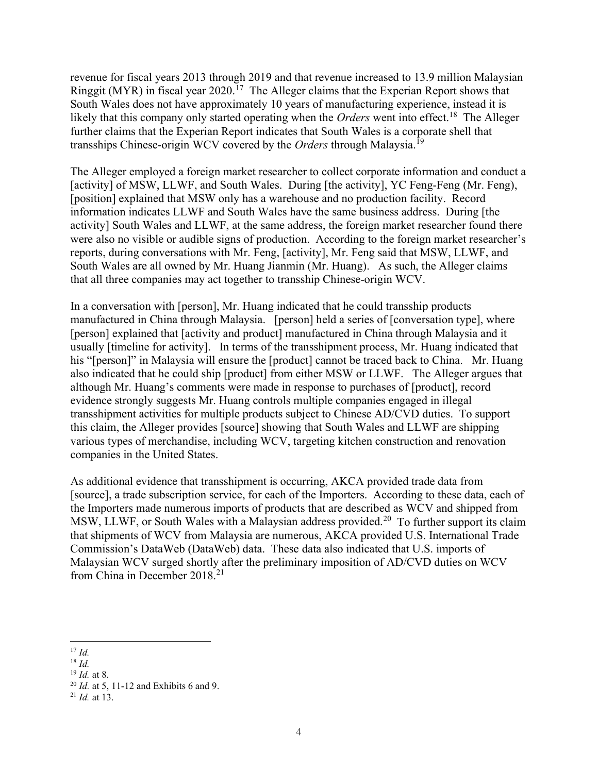revenue for fiscal years 2013 through 2019 and that revenue increased to 13.9 million Malaysian Ringgit (MYR) in fiscal year 2020.<sup>17</sup> The Alleger claims that the Experian Report shows that South Wales does not have approximately 10 years of manufacturing experience, instead it is likely that this company only started operating when the Orders went into [effect.](https://effect.18)<sup>18</sup> The Alleger further claims that the Experian Report indicates that South Wales is a corporate shell that transships Chinese-origin WCV covered by the Orders through [Malaysia.](https://Malaysia.19)<sup>19</sup>

 The Alleger employed a foreign market researcher to collect corporate information and conduct a [activity] of MSW, LLWF, and South Wales. During [the activity], YC Feng-Feng (Mr. Feng), [position] explained that MSW only has a warehouse and no production facility. Record information indicates LLWF and South Wales have the same business address. During [the activity] South Wales and LLWF, at the same address, the foreign market researcher found there were also no visible or audible signs of production. According to the foreign market researcher's reports, during conversations with Mr. Feng, [activity], Mr. Feng said that MSW, LLWF, and South Wales are all owned by Mr. Huang Jianmin (Mr. Huang). As such, the Alleger claims that all three companies may act together to transship Chinese-origin WCV.

 In a conversation with [person], Mr. Huang indicated that he could transship products manufactured in China through Malaysia. [person] held a series of [conversation type], where [person] explained that [activity and product] manufactured in China through Malaysia and it usually [timeline for activity]. In terms of the transshipment process, Mr. Huang indicated that his "[person]" in Malaysia will ensure the [product] cannot be traced back to China. Mr. Huang also indicated that he could ship [product] from either MSW or LLWF. The Alleger argues that although Mr. Huang's comments were made in response to purchases of [product], record evidence strongly suggests Mr. Huang controls multiple companies engaged in illegal transshipment activities for multiple products subject to Chinese AD/CVD duties. To support this claim, the Alleger provides [source] showing that South Wales and LLWF are shipping various types of merchandise, including WCV, targeting kitchen construction and renovation companies in the United States.

 As additional evidence that transshipment is occurring, AKCA provided trade data from [source], a trade subscription service, for each of the Importers. According to these data, each of the Importers made numerous imports of products that are described as WCV and shipped from MSW, LLWF, or South Wales with a Malaysian address [provided.](https://provided.20)<sup>20</sup> To further support its claim that shipments of WCV from Malaysia are numerous, AKCA provided U.S. International Trade Commission's DataWeb (DataWeb) data. These data also indicated that U.S. imports of Malaysian WCV surged shortly after the preliminary imposition of AD/CVD duties on WCV from China in December 2018.<sup>21</sup>

 $17 \, Id.$ 

 $18$  Id.

 $19$  *Id.* at 8.

 $^{20}$  *Id.* at 5, 11-12 and Exhibits 6 and 9.

 $^{21}$  *Id.* at 13.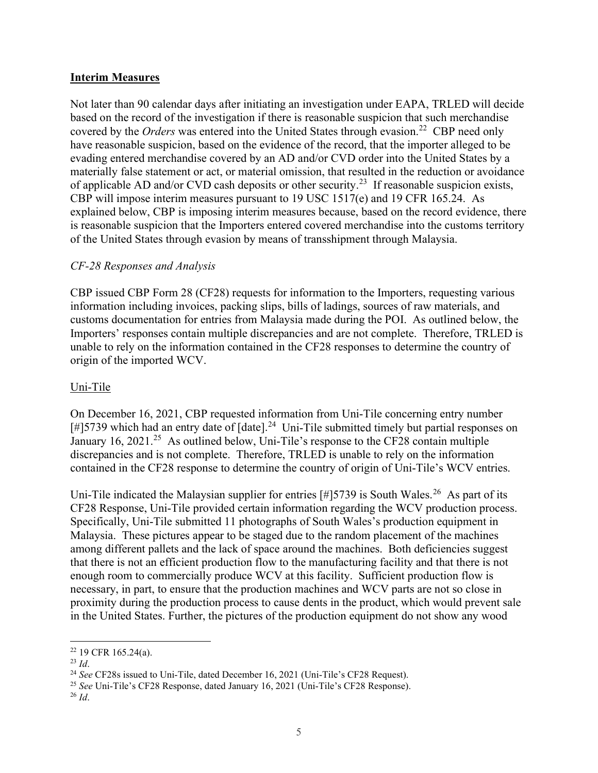## Interim Measures

 Not later than 90 calendar days after initiating an investigation under EAPA, TRLED will decide based on the record of the investigation if there is reasonable suspicion that such merchandise covered by the Orders was entered into the United States through [evasion.](https://evasion.22)<sup>22</sup> CBP need only have reasonable suspicion, based on the evidence of the record, that the importer alleged to be evading entered merchandise covered by an AD and/or CVD order into the United States by a materially false statement or act, or material omission, that resulted in the reduction or avoidance of applicable AD and/or CVD cash deposits or other [security.](https://security.23)<sup>23</sup> If reasonable suspicion exists, CBP will impose interim measures pursuant to 19 USC 1517(e) and 19 CFR 165.24. As explained below, CBP is imposing interim measures because, based on the record evidence, there is reasonable suspicion that the Importers entered covered merchandise into the customs territory of the United States through evasion by means of transshipment through Malaysia.

## CF-28 Responses and Analysis

 CBP issued CBP Form 28 (CF28) requests for information to the Importers, requesting various information including invoices, packing slips, bills of ladings, sources of raw materials, and customs documentation for entries from Malaysia made during the POI. As outlined below, the Importers' responses contain multiple discrepancies and are not complete. Therefore, TRLED is unable to rely on the information contained in the CF28 responses to determine the country of origin of the imported WCV.

## Uni-Tile

 On December 16, 2021, CBP requested information from Uni-Tile concerning entry number [#]5739 which had an entry date of [\[date\].](https://date].24)<sup>24</sup> Uni-Tile submitted timely but partial responses on January 16, 2021.<sup>25</sup> As outlined below, Uni-Tile's response to the CF28 contain multiple discrepancies and is not complete. Therefore, TRLED is unable to rely on the information contained in the CF28 response to determine the country of origin of Uni-Tile's WCV entries.

Uni-Tile indicated the Malaysian supplier for entries [#]5739 is South [Wales.](https://Wales.26)<sup>26</sup> As part of its CF28 Response, Uni-Tile provided certain information regarding the WCV production process. Specifically, Uni-Tile submitted 11 photographs of South Wales's production equipment in Malaysia. These pictures appear to be staged due to the random placement of the machines among different pallets and the lack of space around the machines. Both deficiencies suggest that there is not an efficient production flow to the manufacturing facility and that there is not enough room to commercially produce WCV at this facility. Sufficient production flow is necessary, in part, to ensure that the production machines and WCV parts are not so close in proximity during the production process to cause dents in the product, which would prevent sale in the United States. Further, the pictures of the production equipment do not show any wood

 $22$  19 CFR 165.24(a).

 $^{23}$  Id.

<sup>&</sup>lt;sup>24</sup> See CF28s issued to Uni-Tile, dated December 16, 2021 (Uni-Tile's CF28 Request).

<sup>&</sup>lt;sup>25</sup> See Uni-Tile's CF28 Response, dated January 16, 2021 (Uni-Tile's CF28 Response).

 $^{26}$  Id.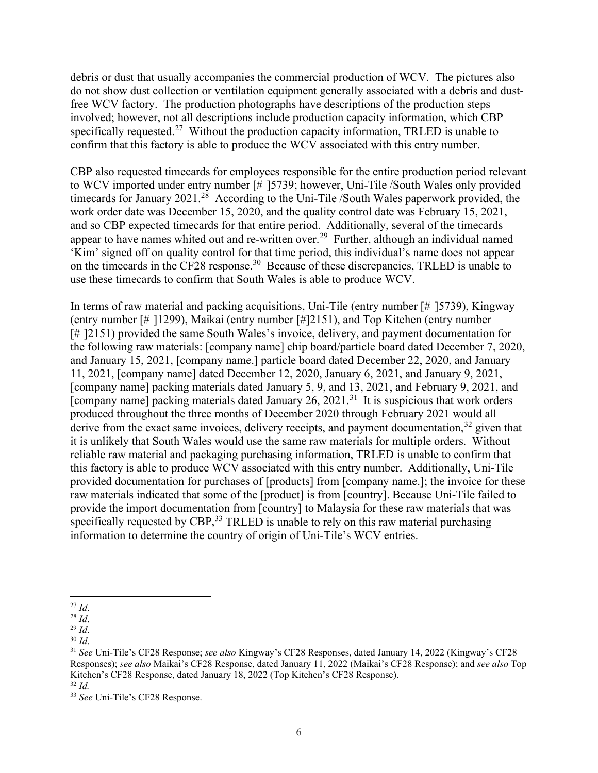debris or dust that usually accompanies the commercial production of WCV. The pictures also do not show dust collection or ventilation equipment generally associated with a debris and dust- free WCV factory. The production photographs have descriptions of the production steps involved; however, not all descriptions include production capacity information, which CBP specifically [requested.](https://requested.27)<sup>27</sup> Without the production capacity information, TRLED is unable to confirm that this factory is able to produce the WCV associated with this entry number.

 CBP also requested timecards for employees responsible for the entire production period relevant to WCV imported under entry number [# ]5739; however, Uni-Tile /South Wales only provided timecards for January 2021.<sup>28</sup> According to the Uni-Tile /South Wales paperwork provided, the work order date was December 15, 2020, and the quality control date was February 15, 2021, and so CBP expected timecards for that entire period. Additionally, several of the timecards appear to have names whited out and re-written over.<sup>29</sup> Further, although an individual named 'Kim' signed off on quality control for that time period, this individual's name does not appear on the timecards in the CF28 [response.](https://response.30)<sup>30</sup> Because of these discrepancies, TRLED is unable to use these timecards to confirm that South Wales is able to produce WCV.

 I In terms of raw material and packing acquisitions, Uni-Tile (entry number [# ]5739), Kingway (entry number [# ]1299), Maikai (entry number [#]2151), and Top Kitchen (entry number [#] 2151) provided the same South Wales's invoice, delivery, and payment documentation for the following raw materials: [company name] chip board/particle board dated December 7, 2020, and January 15, 2021, [company name.] particle board dated December 22, 2020, and January 11, 2021, [company name] dated December 12, 2020, January 6, 2021, and January 9, 2021, [company name] packing materials dated January 5, 9, and 13, 2021, and February 9, 2021, and [company name] packing materials dated January  $26$ ,  $2021$ .<sup>31</sup> It is suspicious that work orders produced throughout the three months of December 2020 through February 2021 would all derive from the exact same invoices, delivery receipts, and payment documentation,  $32$  given that it is unlikely that South Wales would use the same raw materials for multiple orders. Without reliable raw material and packaging purchasing information, TRLED is unable to confirm that this factory is able to produce WCV associated with this entry number. Additionally, Uni-Tile provided documentation for purchases of [products] from [company name.]; the invoice for these raw materials indicated that some of the [product] is from [country]. Because Uni-Tile failed to provide the import documentation from [country] to Malaysia for these raw materials that was specifically requested by CBP, $33$  TRLED is unable to rely on this raw material purchasing information to determine the country of origin of Uni-Tile's WCV entries.

 $^{27}$  Id.

 $^{28}$  Id.

 $^{29}$  Id.

 $30$  Id.

<sup>&</sup>lt;sup>31</sup> See Uni-Tile's CF28 Response; see also Kingway's CF28 Responses, dated January 14, 2022 (Kingway's CF28 Responses); see also Maikai's CF28 Response, dated January 11, 2022 (Maikai's CF28 Response); and see also Top Kitchen's CF28 Response, dated January 18, 2022 (Top Kitchen's CF28 Response).

 $32$  Id.

<sup>&</sup>lt;sup>33</sup> See Uni-Tile's CF28 Response.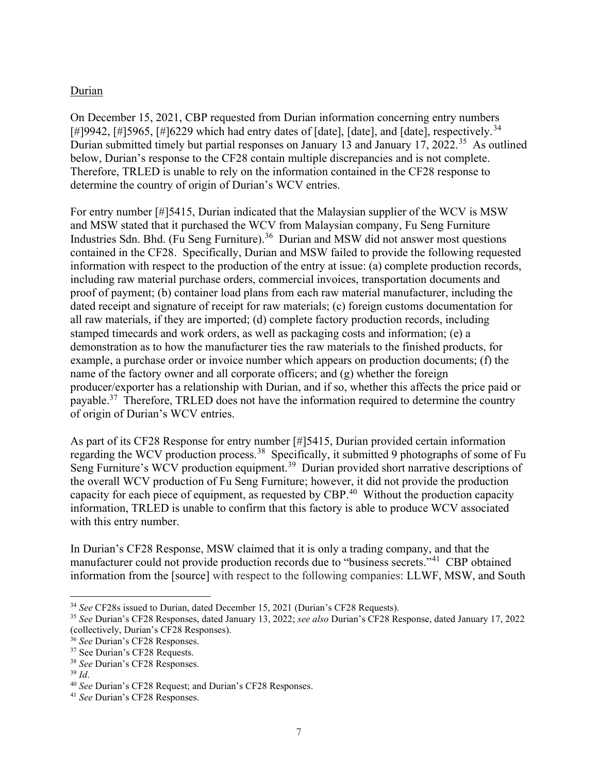#### Durian

 On December 15, 2021, CBP requested from Durian information concerning entry numbers [#]9942, [#]5965, [#]6229 which had entry dates of [date], [date], and [date], [respectively.](https://respectively.34)<sup>34</sup> Durian submitted timely but partial responses on January 13 and January 17, 2022.<sup>35</sup> As outlined below, Durian's response to the CF28 contain multiple discrepancies and is not complete. Therefore, TRLED is unable to rely on the information contained in the CF28 response to determine the country of origin of Durian's WCV entries.

 For entry number [#]5415, Durian indicated that the Malaysian supplier of the WCV is MSW and MSW stated that it purchased the WCV from Malaysian company, Fu Seng Furniture Industries Sdn. Bhd. (Fu Seng [Furniture\).](https://Furniture).36)<sup>36</sup> Durian and MSW did not answer most questions contained in the CF28. Specifically, Durian and MSW failed to provide the following requested information with respect to the production of the entry at issue: (a) complete production records, including raw material purchase orders, commercial invoices, transportation documents and proof of payment; (b) container load plans from each raw material manufacturer, including the dated receipt and signature of receipt for raw materials; (c) foreign customs documentation for all raw materials, if they are imported; (d) complete factory production records, including stamped timecards and work orders, as well as packaging costs and information; (e) a demonstration as to how the manufacturer ties the raw materials to the finished products, for example, a purchase order or invoice number which appears on production documents; (f) the name of the factory owner and all corporate officers; and (g) whether the foreign producer/exporter has a relationship with Durian, and if so, whether this affects the price paid or [payable.](https://payable.37)<sup>37</sup> Therefore, TRLED does not have the information required to determine the country of origin of Durian's WCV entries.

 As part of its CF28 Response for entry number [#]5415, Durian provided certain information regarding the WCV production [process.](https://process.38)<sup>38</sup> Specifically, it submitted 9 photographs of some of Fu Seng Furniture's WCV production [equipment.](https://equipment.39)<sup>39</sup> Durian provided short narrative descriptions of the overall WCV production of Fu Seng Furniture; however, it did not provide the production capacity for each piece of equipment, as requested by CBP.<sup>40</sup> Without the production capacity information, TRLED is unable to confirm that this factory is able to produce WCV associated with this entry number.

 In Durian's CF28 Response, MSW claimed that it is only a trading company, and that the manufacturer could not provide production records due to "business secrets."<sup>41</sup> CBP obtained information from the [source] with respect to the following companies: LLWF, MSW, and South

<sup>&</sup>lt;sup>34</sup> See CF28s issued to Durian, dated December 15, 2021 (Durian's CF28 Requests).

<sup>&</sup>lt;sup>35</sup> See Durian's CF28 Responses, dated January 13, 2022; see also Durian's CF28 Response, dated January 17, 2022 (collectively, Durian's CF28 Responses).

<sup>&</sup>lt;sup>36</sup> See Durian's CF28 Responses.

<sup>37</sup> See Durian's CF28 Requests.

<sup>38</sup> See Durian's CF28 Responses.

 $39$  *Id.* 

<sup>&</sup>lt;sup>40</sup> See Durian's CF28 Request; and Durian's CF28 Responses.

<sup>&</sup>lt;sup>41</sup> See Durian's CF28 Responses.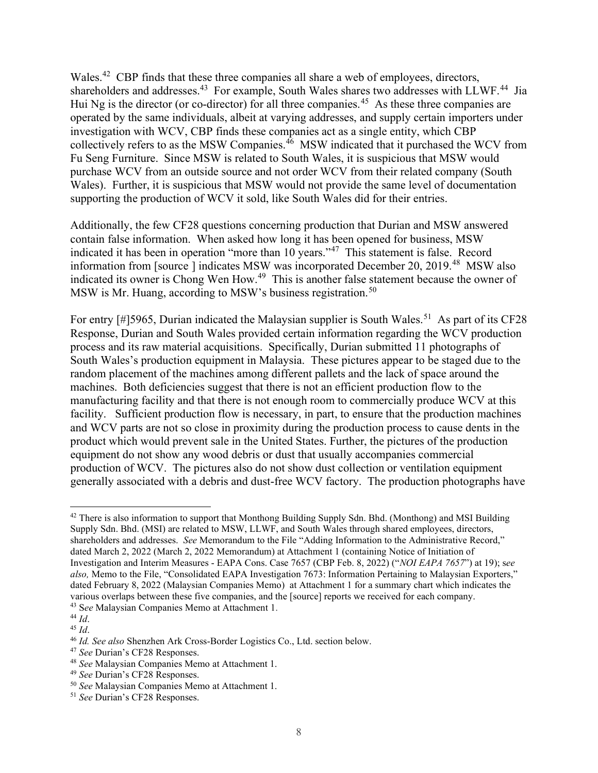[Wales.](https://Wales.42)<sup>42</sup> CBP finds that these three companies all share a web of employees, directors, shareholders and [addresses.](https://addresses.43)<sup>43</sup> For example, South Wales shares two addresses with LLWF.<sup>44</sup> Jia Hui Ng is the director (or co-director) for all three [companies.](https://companies.45)<sup>45</sup> As these three companies are operated by the same individuals, albeit at varying addresses, and supply certain importers under investigation with WCV, CBP finds these companies act as a single entity, which CBP collectively refers to as the MSW [Companies.](https://Companies.46)<sup>46</sup> MSW indicated that it purchased the WCV from Fu Seng Furniture. Since MSW is related to South Wales, it is suspicious that MSW would purchase WCV from an outside source and not order WCV from their related company (South Wales). Further, it is suspicious that MSW would not provide the same level of documentation supporting the production of WCV it sold, like South Wales did for their entries.

 Additionally, the few CF28 questions concerning production that Durian and MSW answered contain false information. When asked how long it has been opened for business, MSW indicated it has been in operation "more than 10 years."<sup>47</sup> This statement is false. Record information from [source ] indicates MSW was incorporated December 20, 2019.<sup>48</sup> MSW also indicated its owner is Chong Wen How.<sup>49</sup> This is another false statement because the owner of MSW is Mr. Huang, according to MSW's business [registration.](https://registration.50)<sup>50</sup>

For entry [#]5965, Durian indicated the Malaysian supplier is South [Wales.](https://Wales.51)<sup>51</sup> As part of its CF28 Response, Durian and South Wales provided certain information regarding the WCV production process and its raw material acquisitions. Specifically, Durian submitted 11 photographs of South Wales's production equipment in Malaysia. These pictures appear to be staged due to the random placement of the machines among different pallets and the lack of space around the machines. Both deficiencies suggest that there is not an efficient production flow to the manufacturing facility and that there is not enough room to commercially produce WCV at this facility. Sufficient production flow is necessary, in part, to ensure that the production machines and WCV parts are not so close in proximity during the production process to cause dents in the product which would prevent sale in the United States. Further, the pictures of the production equipment do not show any wood debris or dust that usually accompanies commercial production of WCV. The pictures also do not show dust collection or ventilation equipment generally associated with a debris and dust-free WCV factory. The production photographs have

 $42$  There is also information to support that Monthong Building Supply Sdn. Bhd. (Monthong) and MSI Building Supply Sdn. Bhd. (MSI) are related to MSW, LLWF, and South Wales through shared employees, directors, shareholders and addresses. See Memorandum to the File "Adding Information to the Administrative Record," dated March 2, 2022 (March 2, 2022 Memorandum) at Attachment 1 (containing Notice of Initiation of Investigation and Interim Measures - EAPA Cons. Case 7657 (CBP Feb. 8, 2022) ("NOI EAPA 7657") at 19); see also, Memo to the File, "Consolidated EAPA Investigation 7673: Information Pertaining to Malaysian Exporters," dated February 8, 2022 (Malaysian Companies Memo) at Attachment 1 for a summary chart which indicates the various overlaps between these five companies, and the [source] reports we received for each company. 43 See Malaysian Companies Memo at Attachment 1.

 <sup>44</sup> Id.

 $45$  *Id.* 

<sup>&</sup>lt;sup>46</sup> Id. See also Shenzhen Ark Cross-Border Logistics Co., Ltd. section below.

<sup>&</sup>lt;sup>47</sup> See Durian's CF28 Responses.

<sup>&</sup>lt;sup>48</sup> See Malaysian Companies Memo at Attachment 1.

<sup>49</sup> See Durian's CF28 Responses.

<sup>50</sup> See Malaysian Companies Memo at Attachment 1.

<sup>&</sup>lt;sup>51</sup> See Durian's CF28 Responses.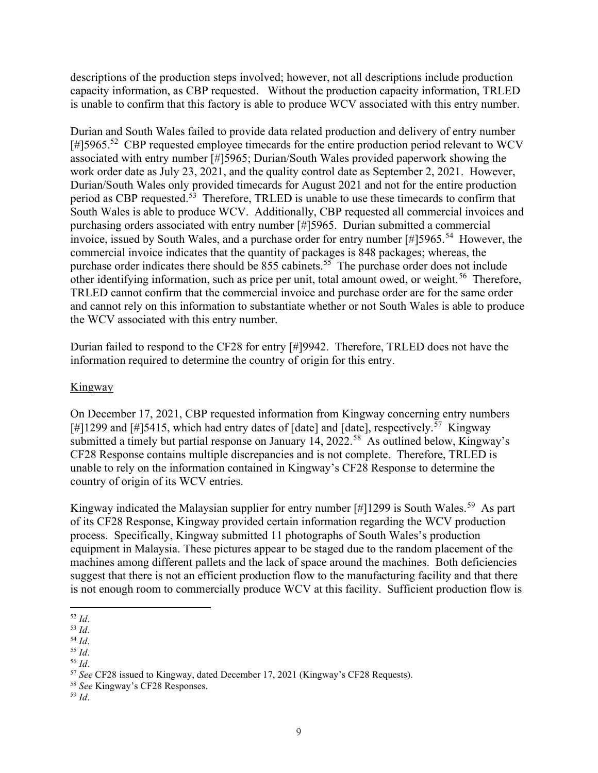descriptions of the production steps involved; however, not all descriptions include production capacity information, as CBP requested. Without the production capacity information, TRLED is unable to confirm that this factory is able to produce WCV associated with this entry number.

 Durian and South Wales failed to provide data related production and delivery of entry number  $[#]$ 5965.<sup>52</sup> CBP requested employee timecards for the entire production period relevant to WCV associated with entry number [#]5965; Durian/South Wales provided paperwork showing the work order date as July 23, 2021, and the quality control date as September 2, 2021. However, Durian/South Wales only provided timecards for August 2021 and not for the entire production period as CBP [requested.](https://requested.53)<sup>53</sup> Therefore, TRLED is unable to use these timecards to confirm that South Wales is able to produce WCV. Additionally, CBP requested all commercial invoices and purchasing orders associated with entry number [#]5965. Durian submitted a commercial invoice, issued by South Wales, and a purchase order for entry number  $[#]$ 5965.<sup>54</sup> However, the commercial invoice indicates that the quantity of packages is 848 packages; whereas, the purchase order indicates there should be 855 [cabinets.](https://cabinets.55)<sup>55</sup> The purchase order does not include other identifying information, such as price per unit, total amount owed, or [weight.](https://weight.56)<sup>56</sup> Therefore, TRLED cannot confirm that the commercial invoice and purchase order are for the same order and cannot rely on this information to substantiate whether or not South Wales is able to produce the WCV associated with this entry number.

 Durian failed to respond to the CF28 for entry [#]9942. Therefore, TRLED does not have the information required to determine the country of origin for this entry.

## Kingway

 On December 17, 2021, CBP requested information from Kingway concerning entry numbers [#]1299 and [#]5415, which had entry dates of [date] and [date], [respectively.](https://respectively.57)<sup>57</sup> Kingway submitted a timely but partial response on January 14, 2022.<sup>58</sup> As outlined below, Kingway's CF28 Response contains multiple discrepancies and is not complete. Therefore, TRLED is unable to rely on the information contained in Kingway's CF28 Response to determine the country of origin of its WCV entries.

Kingway indicated the Malaysian supplier for entry number [#]1299 is South [Wales.](https://Wales.59)<sup>59</sup> As part of its CF28 Response, Kingway provided certain information regarding the WCV production process. Specifically, Kingway submitted 11 photographs of South Wales's production equipment in Malaysia. These pictures appear to be staged due to the random placement of the machines among different pallets and the lack of space around the machines. Both deficiencies suggest that there is not an efficient production flow to the manufacturing facility and that there is not enough room to commercially produce WCV at this facility. Sufficient production flow is

 <sup>52</sup> Id.

 <sup>53</sup> Id.

 <sup>54</sup> Id.

 <sup>55</sup> Id.

 <sup>56</sup> Id.

<sup>&</sup>lt;sup>57</sup> See CF28 issued to Kingway, dated December 17, 2021 (Kingway's CF28 Requests).

<sup>&</sup>lt;sup>58</sup> See Kingway's CF28 Responses.

 <sup>59</sup> Id.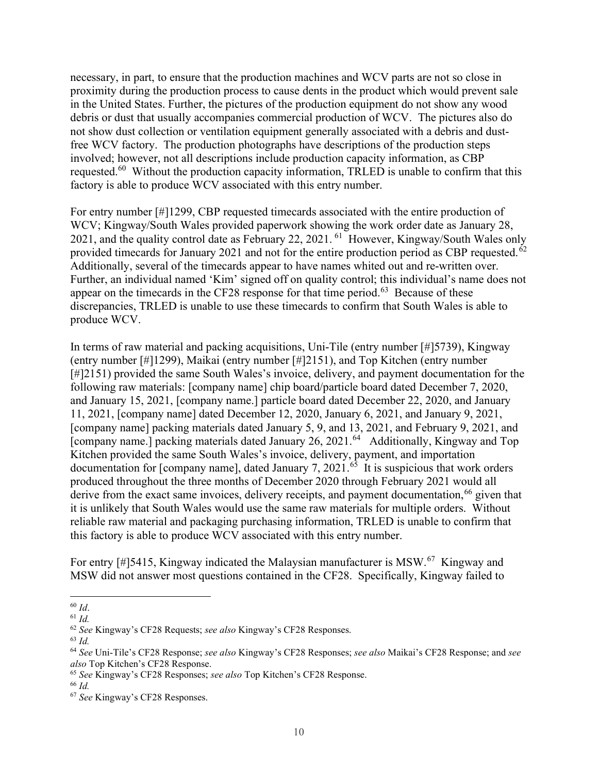necessary, in part, to ensure that the production machines and WCV parts are not so close in proximity during the production process to cause dents in the product which would prevent sale in the United States. Further, the pictures of the production equipment do not show any wood debris or dust that usually accompanies commercial production of WCV. The pictures also do not show dust collection or ventilation equipment generally associated with a debris and dust- free WCV factory. The production photographs have descriptions of the production steps involved; however, not all descriptions include production capacity information, as CBP [requested.](https://requested.60)<sup>60</sup> Without the production capacity information, TRLED is unable to confirm that this factory is able to produce WCV associated with this entry number.

 For entry number [#]1299, CBP requested timecards associated with the entire production of WCV; Kingway/South Wales provided paperwork showing the work order date as January 28, 2021, and the quality control date as February 22, 2021. <sup>61</sup> However, Kingway/South Wales only provided timecards for January 2021 and not for the entire production period as CBP [requested.](https://requested.62)<sup>62</sup> Additionally, several of the timecards appear to have names whited out and re-written over. Further, an individual named 'Kim' signed off on quality control; this individual's name does not appear on the timecards in the CF28 response for that time [period.](https://period.63)<sup>63</sup> Because of these discrepancies, TRLED is unable to use these timecards to confirm that South Wales is able to produce WCV.

 In terms of raw material and packing acquisitions, Uni-Tile (entry number [#]5739), Kingway (entry number [#]1299), Maikai (entry number [#]2151), and Top Kitchen (entry number [#]2151) provided the same South Wales's invoice, delivery, and payment documentation for the following raw materials: [company name] chip board/particle board dated December 7, 2020, and January 15, 2021, [company name.] particle board dated December 22, 2020, and January 11, 2021, [company name] dated December 12, 2020, January 6, 2021, and January 9, 2021, [company name] packing materials dated January 5, 9, and 13, 2021, and February 9, 2021, and [company name.] packing materials dated January 26, 2021.<sup>64</sup> Additionally, Kingway and Top Kitchen provided the same South Wales's invoice, delivery, payment, and importation documentation for [company name], dated January 7, 2021.<sup>65</sup> It is suspicious that work orders produced throughout the three months of December 2020 through February 2021 would all derive from the exact same invoices, delivery receipts, and payment documentation,  $^{66}$  given that it is unlikely that South Wales would use the same raw materials for multiple orders. Without reliable raw material and packaging purchasing information, TRLED is unable to confirm that this factory is able to produce WCV associated with this entry number.

For entry [#]5415, Kingway indicated the Malaysian manufacturer is MSW.<sup>67</sup> Kingway and MSW did not answer most questions contained in the CF28. Specifically, Kingway failed to

 $60$  Id.

 $61$  Id.

 $62$  See Kingway's CF28 Requests; see also Kingway's CF28 Responses.

 $63$  Id.

<sup>&</sup>lt;sup>64</sup> See Uni-Tile's CF28 Response; see also Kingway's CF28 Responses; see also Maikai's CF28 Response; and see also Top Kitchen's CF28 Response.

<sup>&</sup>lt;sup>65</sup> See Kingway's CF28 Responses; see also Top Kitchen's CF28 Response.

 $^{66}\,Id.$ 

<sup>&</sup>lt;sup>67</sup> See Kingway's CF28 Responses.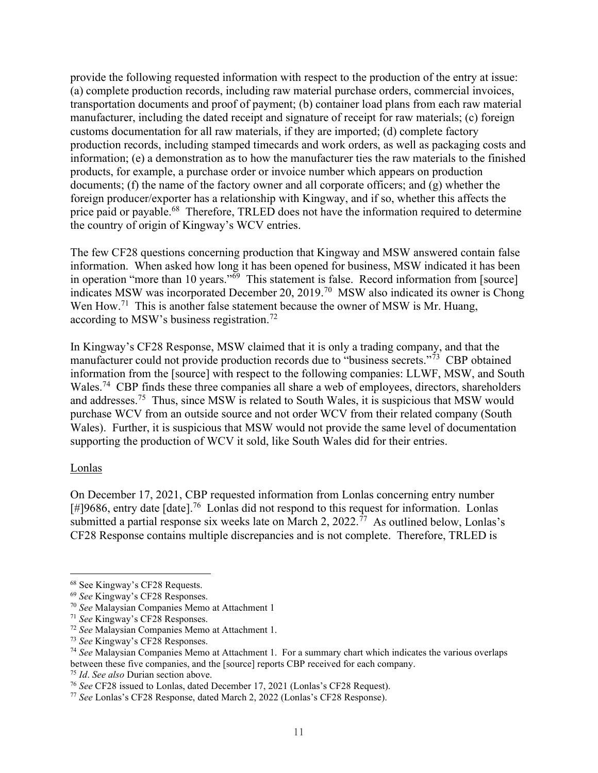provide the following requested information with respect to the production of the entry at issue: (a) complete production records, including raw material purchase orders, commercial invoices, transportation documents and proof of payment; (b) container load plans from each raw material manufacturer, including the dated receipt and signature of receipt for raw materials; (c) foreign customs documentation for all raw materials, if they are imported; (d) complete factory production records, including stamped timecards and work orders, as well as packaging costs and information; (e) a demonstration as to how the manufacturer ties the raw materials to the finished products, for example, a purchase order or invoice number which appears on production documents; (f) the name of the factory owner and all corporate officers; and (g) whether the foreign producer/exporter has a relationship with Kingway, and if so, whether this affects the price paid or [payable.](https://payable.68)<sup>68</sup> Therefore, TRLED does not have the information required to determine the country of origin of Kingway's WCV entries.

 The few CF28 questions concerning production that Kingway and MSW answered contain false information. When asked how long it has been opened for business, MSW indicated it has been in operation "more than 10 years."<sup>69</sup> This statement is false. Record information from [source] indicates MSW was incorporated December 20, 2019.<sup>70</sup> MSW also indicated its owner is Chong Wen How.<sup>71</sup> This is another false statement because the owner of MSW is Mr. Huang, according to MSW's business [registration.](https://registration.72)<sup>72</sup>

 In Kingway's CF28 Response, MSW claimed that it is only a trading company, and that the manufacturer could not provide production records due to "business secrets."<sup>73</sup> CBP obtained information from the [source] with respect to the following companies: LLWF, MSW, and South [Wales.](https://Wales.74)<sup>74</sup> CBP finds these three companies all share a web of employees, directors, shareholders and [addresses.](https://addresses.75)<sup>75</sup> Thus, since MSW is related to South Wales, it is suspicious that MSW would purchase WCV from an outside source and not order WCV from their related company (South Wales). Further, it is suspicious that MSW would not provide the same level of documentation supporting the production of WCV it sold, like South Wales did for their entries.

#### Lonlas

 On December 17, 2021, CBP requested information from Lonlas concerning entry number [#]9686, entry date [\[date\].](https://date].76)<sup>76</sup> Lonlas did not respond to this request for information. Lonlas submitted a partial response six weeks late on March 2, 2022.<sup>77</sup> As outlined below, Lonlas's CF28 Response contains multiple discrepancies and is not complete. Therefore, TRLED is

<sup>68</sup> See Kingway's CF28 Requests.

<sup>69</sup> See Kingway's CF28 Responses.

<sup>&</sup>lt;sup>70</sup> See Malaysian Companies Memo at Attachment 1

<sup>&</sup>lt;sup>71</sup> See Kingway's CF28 Responses.

<sup>&</sup>lt;sup>72</sup> See Malaysian Companies Memo at Attachment 1.

<sup>73</sup> See Kingway's CF28 Responses.

 $74$  See Malaysian Companies Memo at Attachment 1. For a summary chart which indicates the various overlaps between these five companies, and the [source] reports CBP received for each company.

<sup>&</sup>lt;sup>75</sup> Id. See also Durian section above.

<sup>&</sup>lt;sup>76</sup> See CF28 issued to Lonlas, dated December 17, 2021 (Lonlas's CF28 Request).

<sup>&</sup>lt;sup>77</sup> See Lonlas's CF28 Response, dated March 2, 2022 (Lonlas's CF28 Response).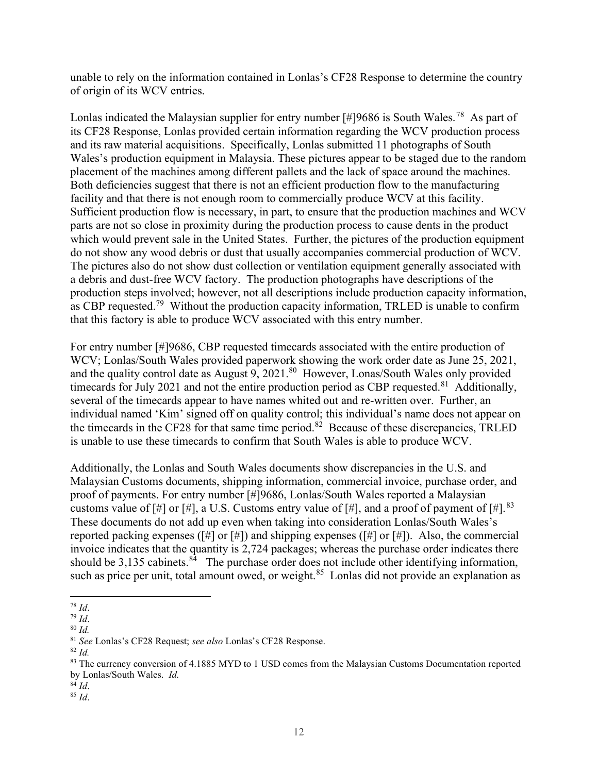unable to rely on the information contained in Lonlas's CF28 Response to determine the country of origin of its WCV entries.

Lonlas indicated the Malaysian supplier for entry number [#]9686 is South [Wales.](https://Wales.78)<sup>78</sup> As part of its CF28 Response, Lonlas provided certain information regarding the WCV production process and its raw material acquisitions. Specifically, Lonlas submitted 11 photographs of South Wales's production equipment in Malaysia. These pictures appear to be staged due to the random placement of the machines among different pallets and the lack of space around the machines. Both deficiencies suggest that there is not an efficient production flow to the manufacturing facility and that there is not enough room to commercially produce WCV at this facility. Sufficient production flow is necessary, in part, to ensure that the production machines and WCV parts are not so close in proximity during the production process to cause dents in the product which would prevent sale in the United States. Further, the pictures of the production equipment do not show any wood debris or dust that usually accompanies commercial production of WCV. The pictures also do not show dust collection or ventilation equipment generally associated with a debris and dust-free WCV factory. The production photographs have descriptions of the production steps involved; however, not all descriptions include production capacity information, as CBP [requested.](https://requested.79)<sup>79</sup> Without the production capacity information, TRLED is unable to confirm that this factory is able to produce WCV associated with this entry number.

 For entry number [#]9686, CBP requested timecards associated with the entire production of WCV; Lonlas/South Wales provided paperwork showing the work order date as June 25, 2021, and the quality control date as August 9, 2021.<sup>80</sup> However, Lonas/South Wales only provided timecards for July 2021 and not the entire production period as CBP [requested.](https://requested.81)<sup>81</sup> Additionally, several of the timecards appear to have names whited out and re-written over. Further, an individual named 'Kim' signed off on quality control; this individual's name does not appear on the timecards in the CF28 for that same time [period.](https://period.82)<sup>82</sup> Because of these discrepancies, TRLED is unable to use these timecards to confirm that South Wales is able to produce WCV.

 Additionally, the Lonlas and South Wales documents show discrepancies in the U.S. and Malaysian Customs documents, shipping information, commercial invoice, purchase order, and proof of payments. For entry number [#]9686, Lonlas/South Wales reported a Malaysian customs value of [#] or [#], a U.S. Customs entry value of [#], and a proof of payment of [#].  $83$  These documents do not add up even when taking into consideration Lonlas/South Wales's reported packing expenses ([#] or [#]) and shipping expenses ([#] or [#]). Also, the commercial invoice indicates that the quantity is 2,724 packages; whereas the purchase order indicates there should be 3,135 [cabinets.](https://cabinets.84)<sup>84</sup> The purchase order does not include other identifying information, such as price per unit, total amount owed, or [weight.](https://weight.85)<sup>85</sup> Lonlas did not provide an explanation as

- $84$  Id.
- $85$  *Id.*

 <sup>78</sup> Id.

 <sup>79</sup> Id.

<sup>80</sup> Id.

<sup>81</sup> See Lonlas's CF28 Request; see also Lonlas's CF28 Response.

 $82$  *Id.* 

<sup>&</sup>lt;sup>83</sup> The currency conversion of 4.1885 MYD to 1 USD comes from the Malaysian Customs Documentation reported by Lonlas/South Wales. Id.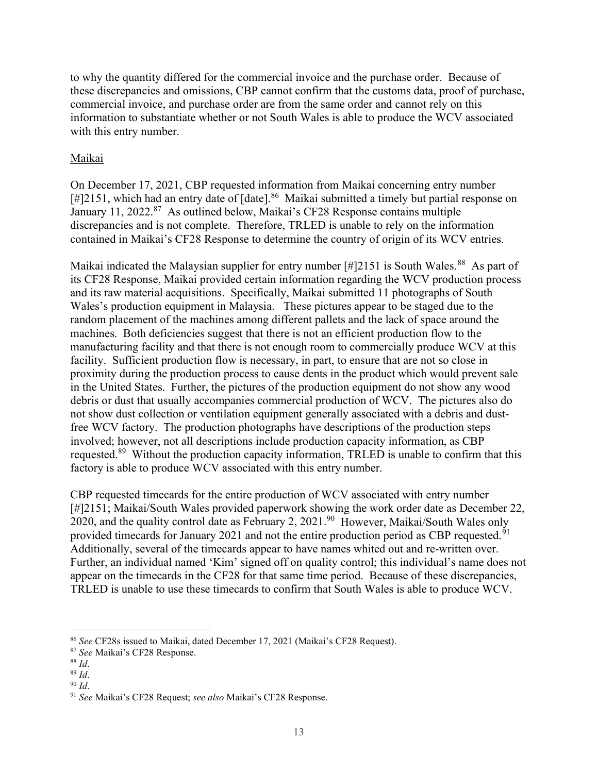to why the quantity differed for the commercial invoice and the purchase order. Because of these discrepancies and omissions, CBP cannot confirm that the customs data, proof of purchase, commercial invoice, and purchase order are from the same order and cannot rely on this information to substantiate whether or not South Wales is able to produce the WCV associated with this entry number.

## Maikai

 On December 17, 2021, CBP requested information from Maikai concerning entry number [#]2151, which had an entry date of [\[date\].](https://date].86)<sup>86</sup> Maikai submitted a timely but partial response on January 11, 2022.<sup>87</sup> As outlined below, Maikai's CF28 Response contains multiple discrepancies and is not complete. Therefore, TRLED is unable to rely on the information contained in Maikai's CF28 Response to determine the country of origin of its WCV entries.

Maikai indicated the Malaysian supplier for entry number [#]2151 is South [Wales.](https://Wales.88)<sup>88</sup> As part of its CF28 Response, Maikai provided certain information regarding the WCV production process and its raw material acquisitions. Specifically, Maikai submitted 11 photographs of South Wales's production equipment in Malaysia. These pictures appear to be staged due to the random placement of the machines among different pallets and the lack of space around the machines. Both deficiencies suggest that there is not an efficient production flow to the manufacturing facility and that there is not enough room to commercially produce WCV at this facility. Sufficient production flow is necessary, in part, to ensure that are not so close in proximity during the production process to cause dents in the product which would prevent sale in the United States. Further, the pictures of the production equipment do not show any wood debris or dust that usually accompanies commercial production of WCV. The pictures also do not show dust collection or ventilation equipment generally associated with a debris and dust- free WCV factory. The production photographs have descriptions of the production steps involved; however, not all descriptions include production capacity information, as CBP [requested.](https://requested.89)<sup>89</sup> Without the production capacity information, TRLED is unable to confirm that this factory is able to produce WCV associated with this entry number.

 CBP requested timecards for the entire production of WCV associated with entry number [#]2151; Maikai/South Wales provided paperwork showing the work order date as December 22, 2020, and the quality control date as February 2, 2021.<sup>90</sup> However, Maikai/South Wales only provided timecards for January 2021 and not the entire production period as CBP [requested.](https://requested.91)<sup>91</sup> Additionally, several of the timecards appear to have names whited out and re-written over. Further, an individual named 'Kim' signed off on quality control; this individual's name does not appear on the timecards in the CF28 for that same time period. Because of these discrepancies, TRLED is unable to use these timecards to confirm that South Wales is able to produce WCV.

<sup>&</sup>lt;sup>86</sup> See CF28s issued to Maikai, dated December 17, 2021 (Maikai's CF28 Request).

<sup>87</sup> See Maikai's CF28 Response.

 $88$  Id.

 <sup>89</sup> Id.

 $90$  Id.

<sup>&</sup>lt;sup>91</sup> See Maikai's CF28 Request; see also Maikai's CF28 Response.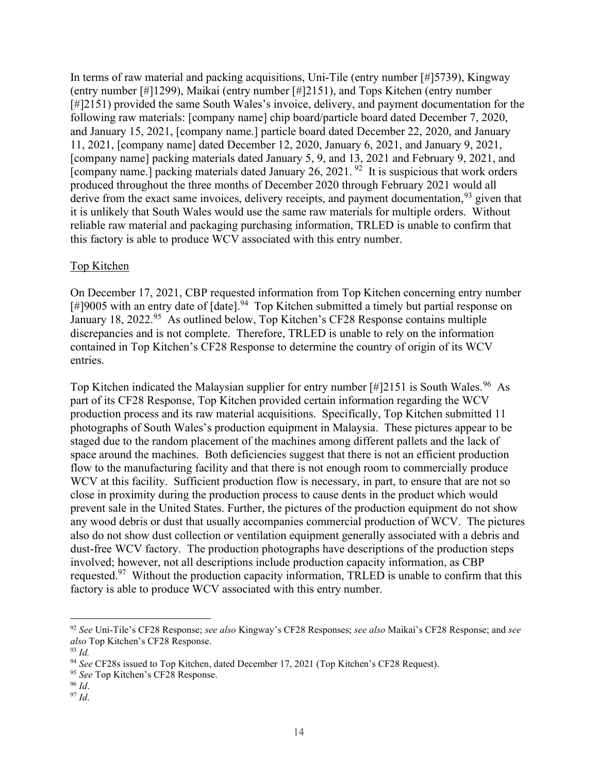In terms of raw material and packing acquisitions, Uni-Tile (entry number [#]5739), Kingway (entry number [#]1299), Maikai (entry number [#]2151), and Tops Kitchen (entry number [#]2151) provided the same South Wales's invoice, delivery, and payment documentation for the following raw materials: [company name] chip board/particle board dated December 7, 2020, and January 15, 2021, [company name.] particle board dated December 22, 2020, and January 11, 2021, [company name] dated December 12, 2020, January 6, 2021, and January 9, 2021, [company name] packing materials dated January 5, 9, and 13, 2021 and February 9, 2021, and [company name.] packing materials dated January 26, 2021.  $92$  It is suspicious that work orders produced throughout the three months of December 2020 through February 2021 would all derive from the exact same invoices, delivery receipts, and payment documentation,  $93$  given that it is unlikely that South Wales would use the same raw materials for multiple orders. Without reliable raw material and packaging purchasing information, TRLED is unable to confirm that this factory is able to produce WCV associated with this entry number.

## Top Kitchen

 On December 17, 2021, CBP requested information from Top Kitchen concerning entry number [#]9005 with an entry date of  $[date]$ .<sup>94</sup> Top Kitchen submitted a timely but partial response on January 18, 2022.<sup>95</sup> As outlined below, Top Kitchen's CF28 Response contains multiple discrepancies and is not complete. Therefore, TRLED is unable to rely on the information contained in Top Kitchen's CF28 Response to determine the country of origin of its WCV entries.

Top Kitchen indicated the Malaysian supplier for entry number  $[\text{\#}]2151$  is South [Wales.](https://Wales.96)<sup>96</sup> As part of its CF28 Response, Top Kitchen provided certain information regarding the WCV production process and its raw material acquisitions. Specifically, Top Kitchen submitted 11 photographs of South Wales's production equipment in Malaysia. These pictures appear to be staged due to the random placement of the machines among different pallets and the lack of space around the machines. Both deficiencies suggest that there is not an efficient production flow to the manufacturing facility and that there is not enough room to commercially produce WCV at this facility. Sufficient production flow is necessary, in part, to ensure that are not so close in proximity during the production process to cause dents in the product which would prevent sale in the United States. Further, the pictures of the production equipment do not show any wood debris or dust that usually accompanies commercial production of WCV. The pictures also do not show dust collection or ventilation equipment generally associated with a debris and dust-free WCV factory. The production photographs have descriptions of the production steps involved; however, not all descriptions include production capacity information, as CBP requested.<sup>97</sup> Without the production capacity information, TRLED is unable to confirm that this factory is able to produce WCV associated with this entry number.

<sup>96</sup> Id.

<sup>&</sup>lt;sup>92</sup> See Uni-Tile's CF28 Response; see also Kingway's CF28 Responses; see also Maikai's CF28 Response; and see also Top Kitchen's CF28 Response.

 $93$  Id.

<sup>&</sup>lt;sup>94</sup> See CF28s issued to Top Kitchen, dated December 17, 2021 (Top Kitchen's CF28 Request).

<sup>95</sup> See Top Kitchen's CF28 Response.

 <sup>97</sup> Id.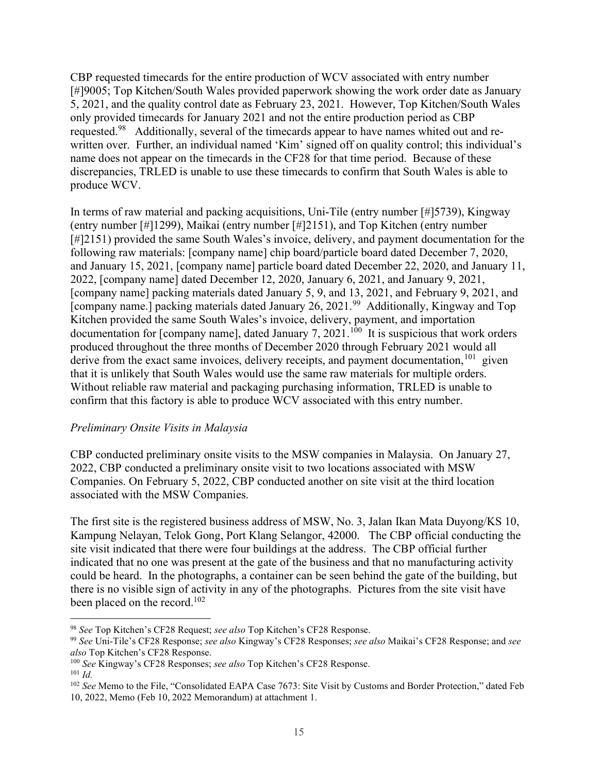CBP requested timecards for the entire production of WCV associated with entry number [#]9005; Top Kitchen/South Wales provided paperwork showing the work order date as January 5, 2021, and the quality control date as February 23, 2021. However, Top Kitchen/South Wales only provided timecards for January 2021 and not the entire production period as CBP [requested.](https://requested.98)<sup>98</sup> Additionally, several of the timecards appear to have names whited out and re- written over. Further, an individual named 'Kim' signed off on quality control; this individual's name does not appear on the timecards in the CF28 for that time period. Because of these discrepancies, TRLED is unable to use these timecards to confirm that South Wales is able to produce WCV.

 In terms of raw material and packing acquisitions, Uni-Tile (entry number [#]5739), Kingway (entry number [#]1299), Maikai (entry number [#]2151), and Top Kitchen (entry number [#]2151) provided the same South Wales's invoice, delivery, and payment documentation for the following raw materials: [company name] chip board/particle board dated December 7, 2020, and January 15, 2021, [company name] particle board dated December 22, 2020, and January 11, 2022, [company name] dated December 12, 2020, January 6, 2021, and January 9, 2021, [company name] packing materials dated January 5, 9, and 13, 2021, and February 9, 2021, and [company name.] packing materials dated January 26, 2021.<sup>99</sup> Additionally, Kingway and Top Kitchen provided the same South Wales's invoice, delivery, payment, and importation documentation for [company name], dated January 7, 2021.<sup>100</sup> It is suspicious that work orders produced throughout the three months of December 2020 through February 2021 would all derive from the exact same invoices, delivery receipts, and payment documentation,  $101$  given that it is unlikely that South Wales would use the same raw materials for multiple orders. Without reliable raw material and packaging purchasing information, TRLED is unable to confirm that this factory is able to produce WCV associated with this entry number.

#### Preliminary Onsite Visits in Malaysia

 CBP conducted preliminary onsite visits to the MSW companies in Malaysia. On January 27, 2022, CBP conducted a preliminary onsite visit to two locations associated with MSW Companies. On February 5, 2022, CBP conducted another on site visit at the third location associated with the MSW Companies.

 The first site is the registered business address of MSW, No. 3, Jalan Ikan Mata Duyong/KS 10, Kampung Nelayan, Telok Gong, Port Klang Selangor, 42000. The CBP official conducting the site visit indicated that there were four buildings at the address. The CBP official further indicated that no one was present at the gate of the business and that no manufacturing activity could be heard. In the photographs, a container can be seen behind the gate of the building, but there is no visible sign of activity in any of the photographs. Pictures from the site visit have been placed on the record.<sup>102</sup>

<sup>98</sup> See Top Kitchen's CF28 Request; see also Top Kitchen's CF28 Response.

<sup>&</sup>lt;sup>99</sup> See Uni-Tile's CF28 Response; see also Kingway's CF28 Responses; see also Maikai's CF28 Response; and see also Top Kitchen's CF28 Response.

<sup>&</sup>lt;sup>100</sup> See Kingway's CF28 Responses; see also Top Kitchen's CF28 Response.  $101$  Id.

<sup>&</sup>lt;sup>102</sup> See Memo to the File, "Consolidated EAPA Case 7673: Site Visit by Customs and Border Protection," dated Feb 10, 2022, Memo (Feb 10, 2022 Memorandum) at attachment 1.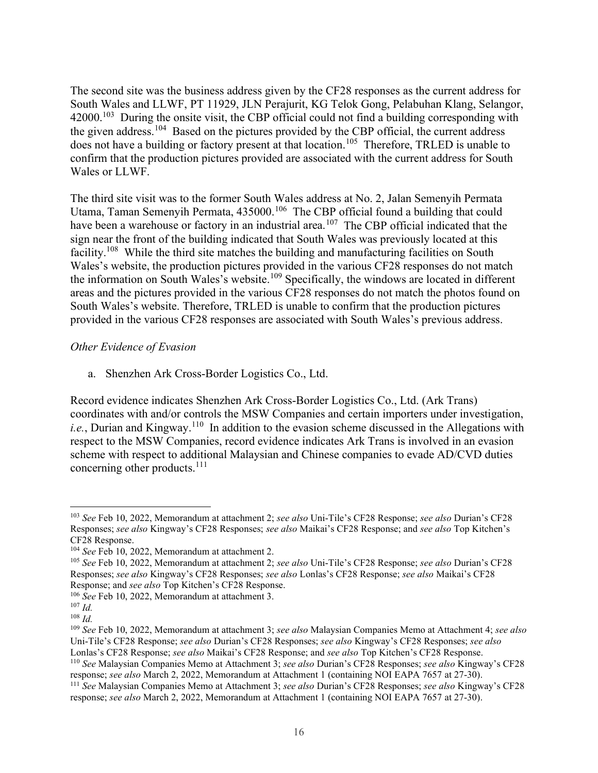The second site was the business address given by the CF28 responses as the current address for South Wales and LLWF, PT 11929, JLN Perajurit, KG Telok Gong, Pelabuhan Klang, Selangor,  $42000$ .<sup>103</sup> During the onsite visit, the CBP official could not find a building corresponding with the given address.<sup>104</sup> Based on the pictures provided by the CBP official, the current address does not have a building or factory present at that location.<sup>105</sup> Therefore, TRLED is unable to confirm that the production pictures provided are associated with the current address for South Wales or LLWF.

 The third site visit was to the former South Wales address at No. 2, Jalan Semenyih Permata Utama, Taman Semenyih Permata, 435000.<sup>106</sup> The CBP official found a building that could have been a warehouse or factory in an industrial area.<sup>107</sup> The CBP official indicated that the sign near the front of the building indicated that South Wales was previously located at this facility.<sup>108</sup> While the third site matches the building and manufacturing facilities on South Wales's website, the production pictures provided in the various CF28 responses do not match the information on South Wales's website.<sup>109</sup> Specifically, the windows are located in different areas and the pictures provided in the various CF28 responses do not match the photos found on South Wales's website. Therefore, TRLED is unable to confirm that the production pictures provided in the various CF28 responses are associated with South Wales's previous address.

#### Other Evidence of Evasion

a. Shenzhen Ark Cross-Border Logistics Co., Ltd.

 Record evidence indicates Shenzhen Ark Cross-Border Logistics Co., Ltd. (Ark Trans) coordinates with and/or controls the MSW Companies and certain importers under investigation, *i.e.*, Durian and Kingway.<sup>110</sup> In addition to the evasion scheme discussed in the Allegations with respect to the MSW Companies, record evidence indicates Ark Trans is involved in an evasion scheme with respect to additional Malaysian and Chinese companies to evade AD/CVD duties concerning other products.<sup>111</sup>

<sup>&</sup>lt;sup>103</sup> See Feb 10, 2022, Memorandum at attachment 2; see also Uni-Tile's CF28 Response; see also Durian's CF28 Responses; see also Kingway's CF28 Responses; see also Maikai's CF28 Response; and see also Top Kitchen's CF28 Response.

 $104$  See Feb 10, 2022, Memorandum at attachment 2.

<sup>&</sup>lt;sup>105</sup> See Feb 10, 2022, Memorandum at attachment 2; see also Uni-Tile's CF28 Response; see also Durian's CF28 Responses; see also Kingway's CF28 Responses; see also Lonlas's CF28 Response; see also Maikai's CF28 Response; and see also Top Kitchen's CF28 Response.

<sup>&</sup>lt;sup>106</sup> See Feb 10, 2022, Memorandum at attachment 3.

 $107$  *Id.* 

 $108$  *Id.* 

<sup>&</sup>lt;sup>109</sup> See Feb 10, 2022, Memorandum at attachment 3; see also Malaysian Companies Memo at Attachment 4; see also Uni-Tile's CF28 Response; see also Durian's CF28 Responses; see also Kingway's CF28 Responses; see also Lonlas's CF28 Response; see also Maikai's CF28 Response; and see also Top Kitchen's CF28 Response.

<sup>&</sup>lt;sup>110</sup> See Malaysian Companies Memo at Attachment 3; see also Durian's CF28 Responses; see also Kingway's CF28 response; see also March 2, 2022, Memorandum at Attachment 1 (containing NOI EAPA 7657 at 27-30).

<sup>&</sup>lt;sup>111</sup> See Malaysian Companies Memo at Attachment 3; see also Durian's CF28 Responses; see also Kingway's CF28 response; see also March 2, 2022, Memorandum at Attachment 1 (containing NOI EAPA 7657 at 27-30).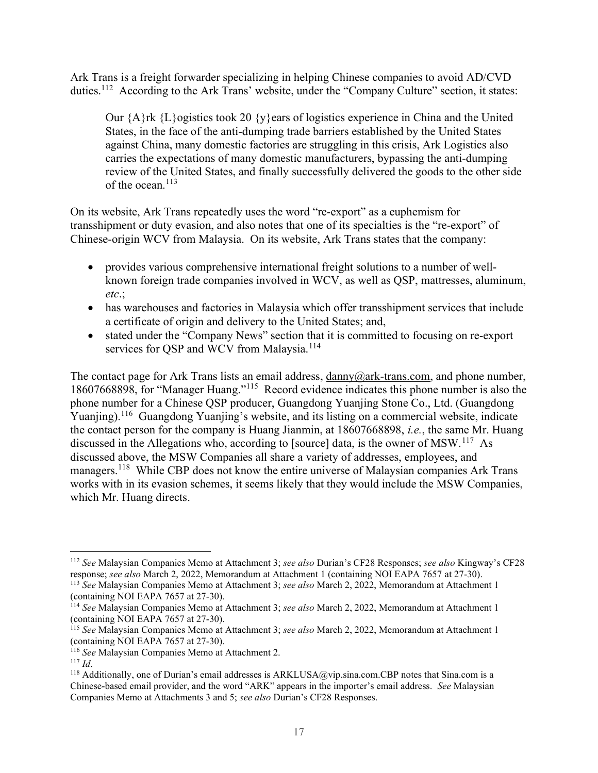Ark Trans is a freight forwarder specializing in helping Chinese companies to avoid AD/CVD duties.<sup>112</sup> According to the Ark Trans' website, under the "Company Culture" section, it states:

 Our {A}rk {L}ogistics took 20 {y}ears of logistics experience in China and the United States, in the face of the anti-dumping trade barriers established by the United States against China, many domestic factories are struggling in this crisis, Ark Logistics also carries the expectations of many domestic manufacturers, bypassing the anti-dumping review of the United States, and finally successfully delivered the goods to the other side of the ocean.<sup>113</sup>

 On its website, Ark Trans repeatedly uses the word "re-export" as a euphemism for transshipment or duty evasion, and also notes that one of its specialties is the "re-export" of Chinese-origin WCV from Malaysia. On its website, Ark Trans states that the company:

- provides various comprehensive international freight solutions to a number of well- known foreign trade companies involved in WCV, as well as QSP, mattresses, aluminum, etc.;
- has warehouses and factories in Malaysia which offer transshipment services that include a certificate of origin and delivery to the United States; and,
- stated under the "Company News" section that it is committed to focusing on re-export services for QSP and WCV from Malaysia.<sup>114</sup>

The contact page for Ark Trans lists an email address, [danny@ark-trans.com](mailto:danny@ark-trans.com), and phone number, 18607668898, for "Manager Huang."<sup>115</sup> Record evidence indicates this phone number is also the phone number for a Chinese QSP producer, Guangdong Yuanjing Stone Co., Ltd. (Guangdong Yuanjing).<sup>116</sup> Guangdong Yuanjing's website, and its listing on a commercial website, indicate the contact person for the company is Huang Jianmin, at 18607668898, *i.e.*, the same Mr. Huang discussed in the Allegations who, according to [source] data, is the owner of MSW.<sup>117</sup> As discussed above, the MSW Companies all share a variety of addresses, employees, and managers.<sup>118</sup> While CBP does not know the entire universe of Malaysian companies Ark Trans works with in its evasion schemes, it seems likely that they would include the MSW Companies, which Mr. Huang directs.

<sup>&</sup>lt;sup>112</sup> See Malaysian Companies Memo at Attachment 3; see also Durian's CF28 Responses; see also Kingway's CF28 response; see also March 2, 2022, Memorandum at Attachment 1 (containing NOI EAPA 7657 at 27-30).

<sup>&</sup>lt;sup>113</sup> See Malaysian Companies Memo at Attachment 3; see also March 2, 2022, Memorandum at Attachment 1 (containing NOI EAPA 7657 at 27-30).

<sup>&</sup>lt;sup>114</sup> See Malaysian Companies Memo at Attachment 3; see also March 2, 2022, Memorandum at Attachment 1 (containing NOI EAPA 7657 at 27-30).

<sup>&</sup>lt;sup>115</sup> See Malaysian Companies Memo at Attachment 3; see also March 2, 2022, Memorandum at Attachment 1 (containing NOI EAPA 7657 at 27-30).

<sup>&</sup>lt;sup>116</sup> See Malaysian Companies Memo at Attachment 2.

 $117$  *Id.* 

<sup>&</sup>lt;sup>118</sup> Additionally, one of Durian's email addresses is ARKLUSA@vip.sina.com.CBP notes that [Sina.com](https://Sina.com) is a Chinese-based email provider, and the word "ARK" appears in the importer's email address. See Malaysian Companies Memo at Attachments 3 and 5; see also Durian's CF28 Responses.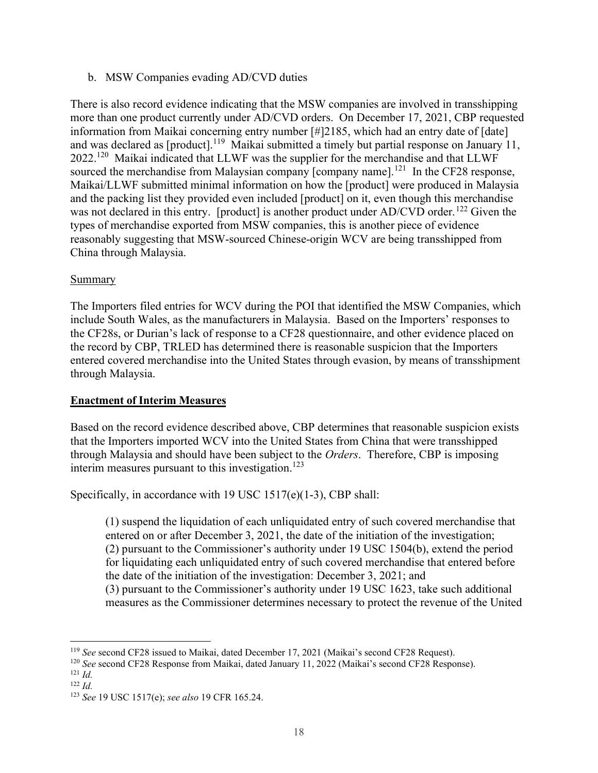b. MSW Companies evading AD/CVD duties

 There is also record evidence indicating that the MSW companies are involved in transshipping more than one product currently under AD/CVD orders. On December 17, 2021, CBP requested information from Maikai concerning entry number [#]2185, which had an entry date of [date] and was declared as [product].<sup>119</sup> Maikai submitted a timely but partial response on January 11,  $2022.<sup>120</sup>$  Maikai indicated that LLWF was the supplier for the merchandise and that LLWF sourced the merchandise from Malaysian company [company name].<sup>121</sup> In the CF28 response, Maikai/LLWF submitted minimal information on how the [product] were produced in Malaysia and the packing list they provided even included [product] on it, even though this merchandise was not declared in this entry. [product] is another product under AD/CVD order.<sup>122</sup> Given the types of merchandise exported from MSW companies, this is another piece of evidence reasonably suggesting that MSW-sourced Chinese-origin WCV are being transshipped from China through Malaysia.

## Summary

 The Importers filed entries for WCV during the POI that identified the MSW Companies, which include South Wales, as the manufacturers in Malaysia. Based on the Importers' responses to the CF28s, or Durian's lack of response to a CF28 questionnaire, and other evidence placed on the record by CBP, TRLED has determined there is reasonable suspicion that the Importers entered covered merchandise into the United States through evasion, by means of transshipment through Malaysia.

# Enactment of Interim Measures

 Based on the record evidence described above, CBP determines that reasonable suspicion exists that the Importers imported WCV into the United States from China that were transshipped through Malaysia and should have been subject to the Orders. Therefore, CBP is imposing interim measures pursuant to this investigation.<sup>123</sup>

Specifically, in accordance with 19 USC 1517(e)(1-3), CBP shall:

 (1) suspend the liquidation of each unliquidated entry of such covered merchandise that entered on or after December 3, 2021, the date of the initiation of the investigation; (2) pursuant to the Commissioner's authority under 19 USC 1504(b), extend the period for liquidating each unliquidated entry of such covered merchandise that entered before the date of the initiation of the investigation: December 3, 2021; and (3) pursuant to the Commissioner's authority under 19 USC 1623, take such additional

measures as the Commissioner determines necessary to protect the revenue of the United

<sup>&</sup>lt;sup>119</sup> See second CF28 issued to Maikai, dated December 17, 2021 (Maikai's second CF28 Request).

<sup>&</sup>lt;sup>120</sup> See second CF28 Response from Maikai, dated January 11, 2022 (Maikai's second CF28 Response).

 $121 \, Id.$ 

 $122$  *Id.* 

<sup>&</sup>lt;sup>123</sup> See 19 USC 1517(e); see also 19 CFR 165.24.